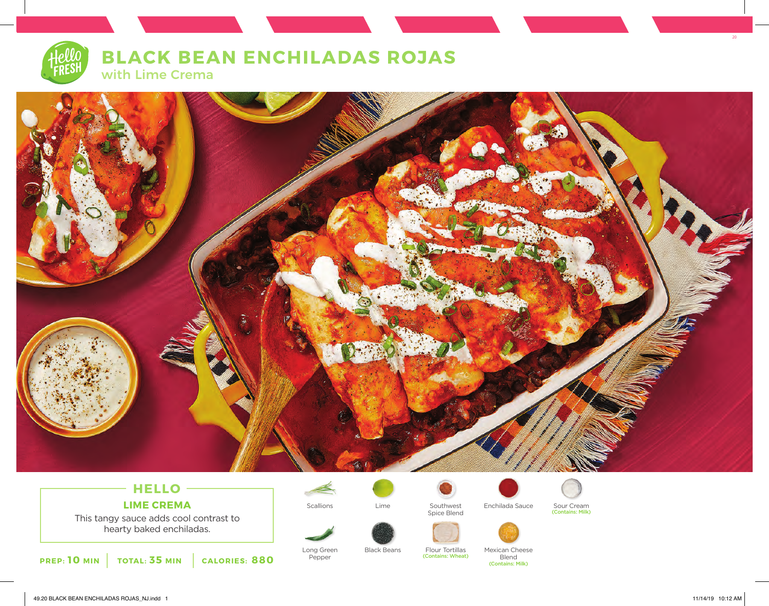# **BLACK BEAN ENCHILADAS ROJAS** with Lime Crema



This tangy sauce adds cool contrast to hearty baked enchiladas.



Long Green Pepper



Lime

Black Beans



Flour Tortillas (Contains: Wheat)

Scallions **Scallions** Lime Southwest Enchilada Sauce Spice Blend





Mexican Cheese Blend (Contains: Milk)





20